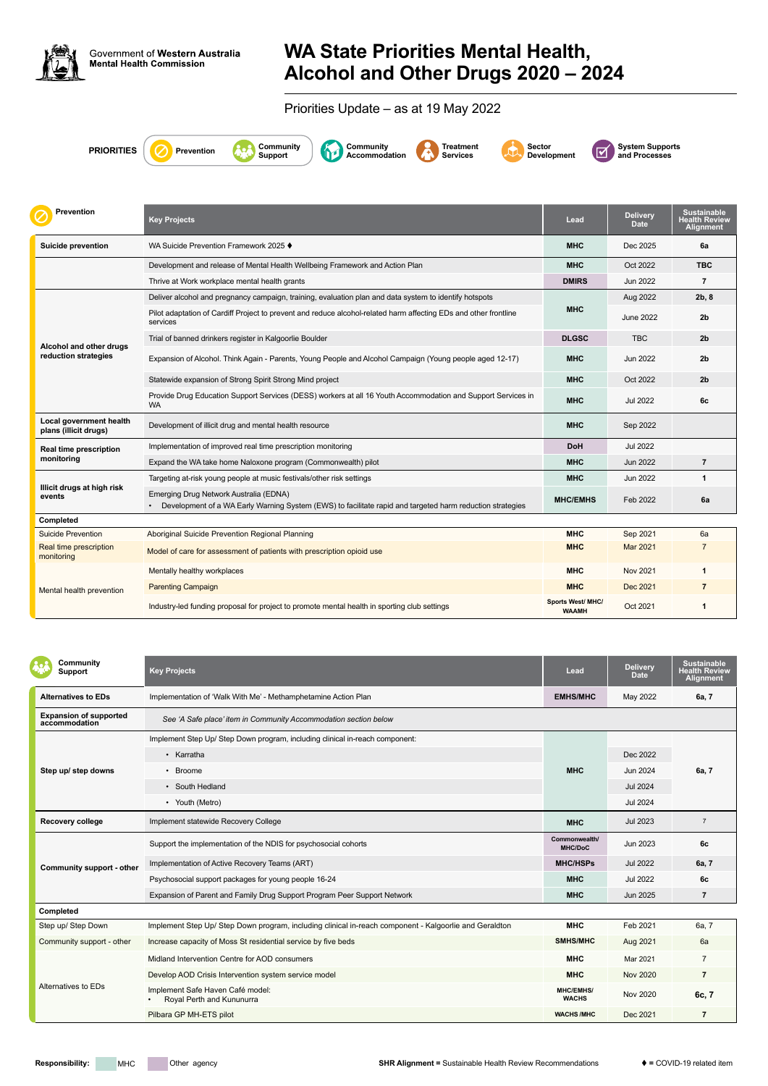

Government of Western Australia<br>Mental Health Commission

## **WA State Priorities Mental Health, Alcohol and Other Drugs 2020 – 2024**

Priorities Update – as at 19 May 2022

**PRIORITIES C** Prevention

| Community<br><b>Support</b>                    | <b>Key Projects</b>                                                                                    | Lead                             | <b>Delivery</b><br><b>Date</b> | <b>Sustainable</b><br><b>Health Review</b><br><b>Alignment</b> |
|------------------------------------------------|--------------------------------------------------------------------------------------------------------|----------------------------------|--------------------------------|----------------------------------------------------------------|
| <b>Alternatives to EDs</b>                     | Implementation of 'Walk With Me' - Methamphetamine Action Plan                                         | <b>EMHS/MHC</b>                  | May 2022                       | 6a, 7                                                          |
| <b>Expansion of supported</b><br>accommodation | See 'A Safe place' item in Community Accommodation section below                                       |                                  |                                |                                                                |
|                                                | Implement Step Up/ Step Down program, including clinical in-reach component:                           |                                  |                                |                                                                |
|                                                | • Karratha                                                                                             |                                  | Dec 2022                       |                                                                |
| Step up/ step downs                            | • Broome                                                                                               | <b>MHC</b>                       | Jun 2024                       | 6a, 7                                                          |
|                                                | • South Hedland                                                                                        |                                  | <b>Jul 2024</b>                |                                                                |
|                                                | • Youth (Metro)                                                                                        |                                  | <b>Jul 2024</b>                |                                                                |
| Recovery college                               | Implement statewide Recovery College                                                                   | <b>MHC</b>                       | Jul 2023                       | $\overline{7}$                                                 |
|                                                | Support the implementation of the NDIS for psychosocial cohorts                                        | Commonwealth/<br><b>MHC/DoC</b>  | Jun 2023                       | 6c                                                             |
| <b>Community support - other</b>               | Implementation of Active Recovery Teams (ART)                                                          | <b>MHC/HSPs</b>                  | <b>Jul 2022</b>                | 6a, 7                                                          |
|                                                | Psychosocial support packages for young people 16-24                                                   | <b>MHC</b>                       | <b>Jul 2022</b>                | 6c                                                             |
|                                                | Expansion of Parent and Family Drug Support Program Peer Support Network                               | <b>MHC</b>                       | <b>Jun 2025</b>                | $\overline{7}$                                                 |
| Completed                                      |                                                                                                        |                                  |                                |                                                                |
| Step up/ Step Down                             | Implement Step Up/ Step Down program, including clinical in-reach component - Kalgoorlie and Geraldton | <b>MHC</b>                       | Feb 2021                       | 6a, 7                                                          |
| Community support - other                      | Increase capacity of Moss St residential service by five beds                                          | SMHS/MHC                         | Aug 2021                       | 6a                                                             |
| Alternatives to EDs                            | Midland Intervention Centre for AOD consumers                                                          | <b>MHC</b>                       | Mar 2021                       | $\overline{7}$                                                 |
|                                                | Develop AOD Crisis Intervention system service model                                                   | <b>MHC</b>                       | <b>Nov 2020</b>                | $\overline{7}$                                                 |
|                                                | Implement Safe Haven Café model:<br>Royal Perth and Kununurra                                          | <b>MHC/EMHS/</b><br><b>WACHS</b> | Nov 2020                       | 6c, 7                                                          |
|                                                | Pilbara GP MH-ETS pilot                                                                                | <b>WACHS/MHC</b>                 | Dec 2021                       | $\overline{7}$                                                 |

**Support**







**Development**

**System Supports** 

| <b>Prevention</b>                                | <b>Key Projects</b>                                                                                                                                 | Lead                              | <b>Delivery</b><br><b>Date</b> | <b>Sustainable</b><br><b>lealth Review</b><br><b>Alignment</b> |
|--------------------------------------------------|-----------------------------------------------------------------------------------------------------------------------------------------------------|-----------------------------------|--------------------------------|----------------------------------------------------------------|
| <b>Suicide prevention</b>                        | WA Suicide Prevention Framework 2025 ♦                                                                                                              | <b>MHC</b>                        | Dec 2025                       | 6a                                                             |
|                                                  | Development and release of Mental Health Wellbeing Framework and Action Plan                                                                        | <b>MHC</b>                        | Oct 2022                       | <b>TBC</b>                                                     |
|                                                  | Thrive at Work workplace mental health grants                                                                                                       | <b>DMIRS</b>                      | <b>Jun 2022</b>                | $\overline{7}$                                                 |
|                                                  | Deliver alcohol and pregnancy campaign, training, evaluation plan and data system to identify hotspots                                              |                                   | Aug 2022                       | 2b, 8                                                          |
|                                                  | Pilot adaptation of Cardiff Project to prevent and reduce alcohol-related harm affecting EDs and other frontline<br>services                        | <b>MHC</b>                        | <b>June 2022</b>               | 2 <sub>b</sub>                                                 |
|                                                  | Trial of banned drinkers register in Kalgoorlie Boulder                                                                                             | <b>DLGSC</b>                      | <b>TBC</b>                     | 2 <sub>b</sub>                                                 |
| Alcohol and other drugs<br>reduction strategies  | Expansion of Alcohol. Think Again - Parents, Young People and Alcohol Campaign (Young people aged 12-17)                                            | <b>MHC</b>                        | Jun 2022                       | 2 <sub>b</sub>                                                 |
|                                                  | Statewide expansion of Strong Spirit Strong Mind project                                                                                            | <b>MHC</b>                        | Oct 2022                       | 2 <sub>b</sub>                                                 |
|                                                  | Provide Drug Education Support Services (DESS) workers at all 16 Youth Accommodation and Support Services in<br><b>WA</b>                           | <b>MHC</b>                        | <b>Jul 2022</b>                | 6c                                                             |
| Local government health<br>plans (illicit drugs) | Development of illicit drug and mental health resource                                                                                              | <b>MHC</b>                        | Sep 2022                       |                                                                |
| <b>Real time prescription</b>                    | Implementation of improved real time prescription monitoring                                                                                        | <b>DoH</b>                        | <b>Jul 2022</b>                |                                                                |
| monitoring                                       | Expand the WA take home Naloxone program (Commonwealth) pilot                                                                                       | <b>MHC</b>                        | <b>Jun 2022</b>                | $\overline{7}$                                                 |
|                                                  | Targeting at-risk young people at music festivals/other risk settings                                                                               | <b>MHC</b>                        | Jun 2022                       | $\mathbf{1}$                                                   |
| Illicit drugs at high risk<br>events             | Emerging Drug Network Australia (EDNA)<br>Development of a WA Early Warning System (EWS) to facilitate rapid and targeted harm reduction strategies | <b>MHC/EMHS</b>                   | Feb 2022                       | 6a                                                             |
| Completed                                        |                                                                                                                                                     |                                   |                                |                                                                |
| <b>Suicide Prevention</b>                        | Aboriginal Suicide Prevention Regional Planning                                                                                                     | <b>MHC</b>                        | Sep 2021                       | 6a                                                             |
| Real time prescription<br>monitoring             | Model of care for assessment of patients with prescription opioid use                                                                               | <b>MHC</b>                        | <b>Mar 2021</b>                | $\overline{7}$                                                 |
| Mental health prevention                         | Mentally healthy workplaces                                                                                                                         | <b>MHC</b>                        | <b>Nov 2021</b>                | 1                                                              |
|                                                  | <b>Parenting Campaign</b>                                                                                                                           | <b>MHC</b>                        | Dec 2021                       | $\overline{7}$                                                 |
|                                                  | Industry-led funding proposal for project to promote mental health in sporting club settings                                                        | Sports West/ MHC/<br><b>WAAMH</b> | Oct 2021                       | 1                                                              |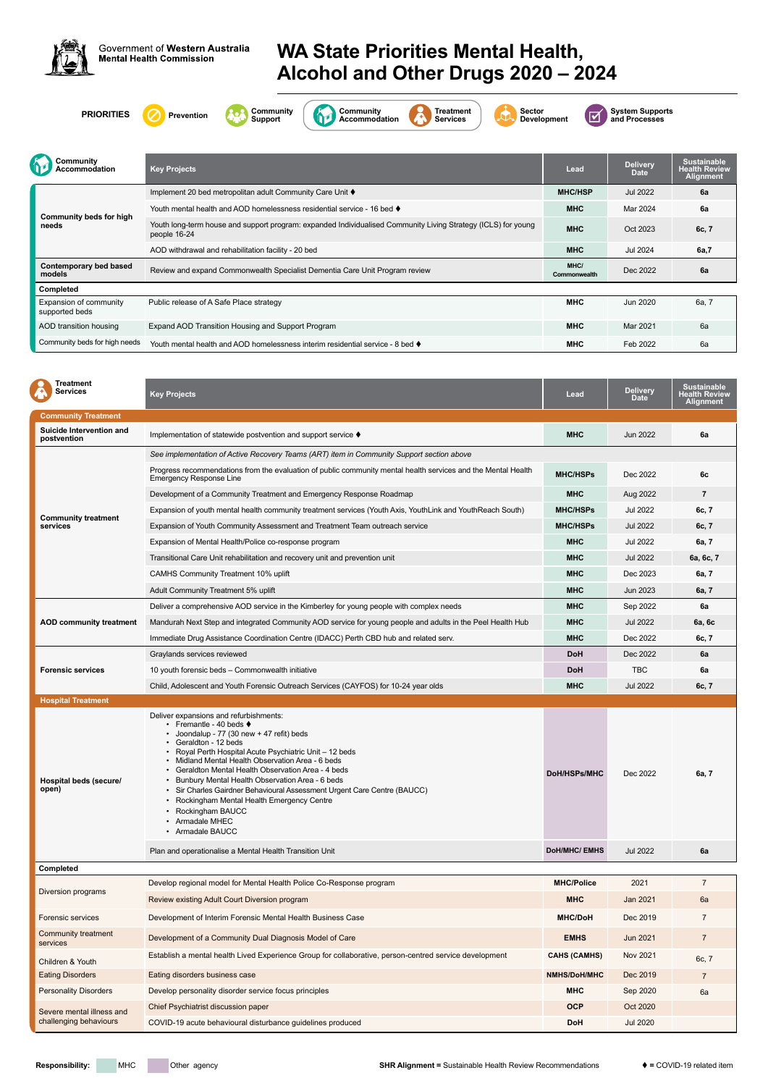

Government of Western Australia **Mental Health Commission** 

## **WA State Priorities Mental Health, Alcohol and Other Drugs 2020 – 2024**













**System Supports** 

| <b>Treatment</b><br><b>Services</b>     | <b>Key Projects</b>                                                                                                                                                                                                                                                                                                                                                                                                                                                                                                            | Lead                | <b>Delivery</b><br><b>Date</b> | <b>Sustainable</b><br><b>Health Review</b><br><b>Alignment</b> |
|-----------------------------------------|--------------------------------------------------------------------------------------------------------------------------------------------------------------------------------------------------------------------------------------------------------------------------------------------------------------------------------------------------------------------------------------------------------------------------------------------------------------------------------------------------------------------------------|---------------------|--------------------------------|----------------------------------------------------------------|
| <b>Community Treatment</b>              |                                                                                                                                                                                                                                                                                                                                                                                                                                                                                                                                |                     |                                |                                                                |
| Suicide Intervention and<br>postvention | Implementation of statewide postvention and support service ♦                                                                                                                                                                                                                                                                                                                                                                                                                                                                  | <b>MHC</b>          | Jun 2022                       | 6a                                                             |
|                                         | See implementation of Active Recovery Teams (ART) item in Community Support section above                                                                                                                                                                                                                                                                                                                                                                                                                                      |                     |                                |                                                                |
|                                         | Progress recommendations from the evaluation of public community mental health services and the Mental Health<br><b>Emergency Response Line</b>                                                                                                                                                                                                                                                                                                                                                                                | <b>MHC/HSPs</b>     | Dec 2022                       | 6c                                                             |
|                                         | Development of a Community Treatment and Emergency Response Roadmap                                                                                                                                                                                                                                                                                                                                                                                                                                                            | <b>MHC</b>          | Aug 2022                       | $\overline{7}$                                                 |
|                                         | Expansion of youth mental health community treatment services (Youth Axis, YouthLink and YouthReach South)                                                                                                                                                                                                                                                                                                                                                                                                                     | <b>MHC/HSPs</b>     | <b>Jul 2022</b>                | 6c, 7                                                          |
| <b>Community treatment</b><br>services  | Expansion of Youth Community Assessment and Treatment Team outreach service                                                                                                                                                                                                                                                                                                                                                                                                                                                    | <b>MHC/HSPs</b>     | <b>Jul 2022</b>                | 6c, 7                                                          |
|                                         | Expansion of Mental Health/Police co-response program                                                                                                                                                                                                                                                                                                                                                                                                                                                                          | <b>MHC</b>          | Jul 2022                       | 6a, 7                                                          |
|                                         | Transitional Care Unit rehabilitation and recovery unit and prevention unit                                                                                                                                                                                                                                                                                                                                                                                                                                                    | <b>MHC</b>          | Jul 2022                       | 6a, 6c, 7                                                      |
|                                         | <b>CAMHS Community Treatment 10% uplift</b>                                                                                                                                                                                                                                                                                                                                                                                                                                                                                    | <b>MHC</b>          | Dec 2023                       | 6a, 7                                                          |
|                                         | Adult Community Treatment 5% uplift                                                                                                                                                                                                                                                                                                                                                                                                                                                                                            | <b>MHC</b>          | <b>Jun 2023</b>                | 6a, 7                                                          |
|                                         | Deliver a comprehensive AOD service in the Kimberley for young people with complex needs                                                                                                                                                                                                                                                                                                                                                                                                                                       | <b>MHC</b>          | Sep 2022                       | 6a                                                             |
| <b>AOD community treatment</b>          | Mandurah Next Step and integrated Community AOD service for young people and adults in the Peel Health Hub                                                                                                                                                                                                                                                                                                                                                                                                                     | <b>MHC</b>          | <b>Jul 2022</b>                | 6a, 6c                                                         |
|                                         | Immediate Drug Assistance Coordination Centre (IDACC) Perth CBD hub and related serv.                                                                                                                                                                                                                                                                                                                                                                                                                                          | <b>MHC</b>          | Dec 2022                       | 6c, 7                                                          |
|                                         | Graylands services reviewed                                                                                                                                                                                                                                                                                                                                                                                                                                                                                                    | <b>DoH</b>          | Dec 2022                       | 6a                                                             |
| <b>Forensic services</b>                | 10 youth forensic beds - Commonwealth initiative                                                                                                                                                                                                                                                                                                                                                                                                                                                                               | <b>DoH</b>          | <b>TBC</b>                     | 6a                                                             |
|                                         | Child, Adolescent and Youth Forensic Outreach Services (CAYFOS) for 10-24 year olds                                                                                                                                                                                                                                                                                                                                                                                                                                            | <b>MHC</b>          | <b>Jul 2022</b>                | 6c, 7                                                          |
| <b>Hospital Treatment</b>               |                                                                                                                                                                                                                                                                                                                                                                                                                                                                                                                                |                     |                                |                                                                |
| Hospital beds (secure/<br>open)         | Deliver expansions and refurbishments:<br>• Fremantle - 40 beds $\blacklozenge$<br>• Joondalup - 77 (30 new + 47 refit) beds<br>• Geraldton - 12 beds<br>• Royal Perth Hospital Acute Psychiatric Unit - 12 beds<br>• Midland Mental Health Observation Area - 6 beds<br>Geraldton Mental Health Observation Area - 4 beds<br>Bunbury Mental Health Observation Area - 6 beds<br>• Sir Charles Gairdner Behavioural Assessment Urgent Care Centre (BAUCC)<br>• Rockingham Mental Health Emergency Centre<br>• Rockingham BAUCC | <b>DoH/HSPs/MHC</b> | Dec 2022                       | 6a, 7                                                          |

|                                                     | Armadale MHEC<br>• Armadale BAUCC                                                                      |                      |          |                |
|-----------------------------------------------------|--------------------------------------------------------------------------------------------------------|----------------------|----------|----------------|
|                                                     | Plan and operationalise a Mental Health Transition Unit                                                | <b>DoH/MHC/ EMHS</b> | Jul 2022 | 6a             |
| Completed                                           |                                                                                                        |                      |          |                |
|                                                     | Develop regional model for Mental Health Police Co-Response program                                    | <b>MHC/Police</b>    | 2021     |                |
| Diversion programs                                  | Review existing Adult Court Diversion program                                                          | <b>MHC</b>           | Jan 2021 | 6a             |
| <b>Forensic services</b>                            | Development of Interim Forensic Mental Health Business Case                                            | <b>MHC/DoH</b>       | Dec 2019 | $\overline{ }$ |
| <b>Community treatment</b><br>services              | Development of a Community Dual Diagnosis Model of Care                                                | <b>EMHS</b>          | Jun 2021 |                |
| Children & Youth                                    | Establish a mental health Lived Experience Group for collaborative, person-centred service development | <b>CAHS (CAMHS)</b>  | Nov 2021 | 6c, 7          |
| <b>Eating Disorders</b>                             | Eating disorders business case                                                                         | <b>NMHS/DoH/MHC</b>  | Dec 2019 | $\overline{7}$ |
| <b>Personality Disorders</b>                        | Develop personality disorder service focus principles                                                  | <b>MHC</b>           | Sep 2020 | 6a             |
| Severe mental illness and<br>challenging behaviours | Chief Psychiatrist discussion paper                                                                    | <b>OCP</b>           | Oct 2020 |                |
|                                                     | COVID-19 acute behavioural disturbance guidelines produced                                             | <b>DoH</b>           | Jul 2020 |                |

| Communitv<br><b>\ccommodation</b>        | <b>Key Projects</b>                                                                                                           | Lead                 | <b>Delivery</b><br><b>Date</b> | <b>Sustainable</b><br><b>Health Review</b><br><b>Alignment</b> |  |
|------------------------------------------|-------------------------------------------------------------------------------------------------------------------------------|----------------------|--------------------------------|----------------------------------------------------------------|--|
| <b>Community beds for high</b><br>needs  | Implement 20 bed metropolitan adult Community Care Unit ♦                                                                     | <b>MHC/HSP</b>       | <b>Jul 2022</b>                | 6a                                                             |  |
|                                          | Youth mental health and AOD homelessness residential service - 16 bed $\blacklozenge$                                         | <b>MHC</b>           | Mar 2024                       | 6a                                                             |  |
|                                          | Youth long-term house and support program: expanded Individualised Community Living Strategy (ICLS) for young<br>people 16-24 | <b>MHC</b>           | Oct 2023                       | 6c, 7                                                          |  |
|                                          | AOD withdrawal and rehabilitation facility - 20 bed                                                                           | <b>MHC</b>           | Jul 2024                       | 6a,7                                                           |  |
| Contemporary bed based<br>models         | Review and expand Commonwealth Specialist Dementia Care Unit Program review                                                   | MHC/<br>Commonwealth | Dec 2022                       | 6a                                                             |  |
| <b>Completed</b>                         |                                                                                                                               |                      |                                |                                                                |  |
| Expansion of community<br>supported beds | Public release of A Safe Place strategy                                                                                       | <b>MHC</b>           | Jun 2020                       | 6a, 7                                                          |  |
| AOD transition housing                   | Expand AOD Transition Housing and Support Program                                                                             | <b>MHC</b>           | Mar 2021                       | 6a                                                             |  |
| Community beds for high needs            | Youth mental health and AOD homelessness interim residential service - 8 bed ♦                                                | <b>MHC</b>           | Feb 2022                       | 6a                                                             |  |